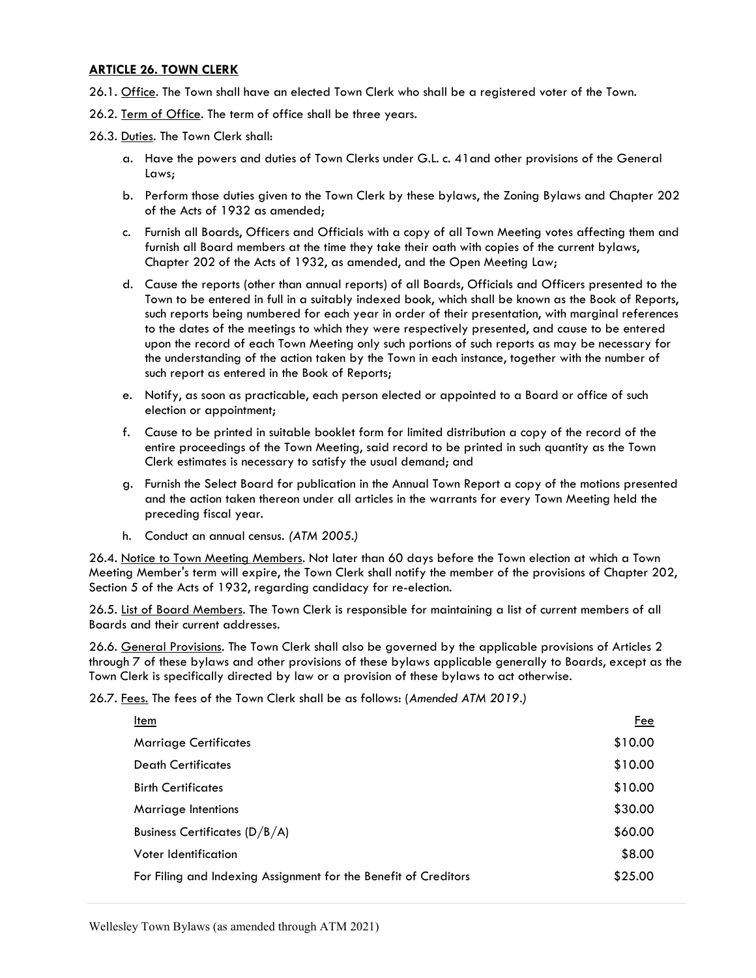## ARTICLE 26. TOWN CLERK

- 26.1. Office. The Town shall have an elected Town Clerk who shall be a registered voter of the Town.
- 26.2. Term of Office. The term of office shall be three years.
- 26.3. Duties. The Town Clerk shall:
	- a. Have the powers and duties of Town Clerks under G.L. c. 41and other provisions of the General Laws;
	- b. Perform those duties given to the Town Clerk by these bylaws, the Zoning Bylaws and Chapter 202 of the Acts of 1932 as amended;
	- c. Furnish all Boards, Officers and Officials with a copy of all Town Meeting votes affecting them and furnish all Board members at the time they take their oath with copies of the current bylaws, Chapter 202 of the Acts of 1932, as amended, and the Open Meeting Law;
	- d. Cause the reports (other than annual reports) of all Boards, Officials and Officers presented to the Town to be entered in full in a suitably indexed book, which shall be known as the Book of Reports, such reports being numbered for each year in order of their presentation, with marginal references to the dates of the meetings to which they were respectively presented, and cause to be entered upon the record of each Town Meeting only such portions of such reports as may be necessary for the understanding of the action taken by the Town in each instance, together with the number of such report as entered in the Book of Reports;
	- e. Notify, as soon as practicable, each person elected or appointed to a Board or office of such election or appointment;
	- f. Cause to be printed in suitable booklet form for limited distribution a copy of the record of the entire proceedings of the Town Meeting, said record to be printed in such quantity as the Town Clerk estimates is necessary to satisfy the usual demand; and
	- g. Furnish the Select Board for publication in the Annual Town Report a copy of the motions presented and the action taken thereon under all articles in the warrants for every Town Meeting held the preceding fiscal year.
	- h. Conduct an annual census. (ATM 2005.)

26.4. Notice to Town Meeting Members. Not later than 60 days before the Town election at which a Town Meeting Member's term will expire, the Town Clerk shall notify the member of the provisions of Chapter 202, Section 5 of the Acts of 1932, regarding candidacy for re-election.

26.5. List of Board Members. The Town Clerk is responsible for maintaining a list of current members of all Boards and their current addresses.

26.6. General Provisions. The Town Clerk shall also be governed by the applicable provisions of Articles 2 through 7 of these bylaws and other provisions of these bylaws applicable generally to Boards, except as the Town Clerk is specifically directed by law or a provision of these bylaws to act otherwise.

26.7. Fees. The fees of the Town Clerk shall be as follows: (Amended ATM 2019.)

| Item                                                            | <u>Fee</u> |
|-----------------------------------------------------------------|------------|
| <b>Marriage Certificates</b>                                    | \$10.00    |
| <b>Death Certificates</b>                                       | \$10.00    |
| <b>Birth Certificates</b>                                       | \$10.00    |
| Marriage Intentions                                             | \$30.00    |
| Business Certificates $(D/B/A)$                                 | \$60.00    |
| Voter Identification                                            | \$8.00     |
| For Filing and Indexing Assignment for the Benefit of Creditors | \$25.00    |